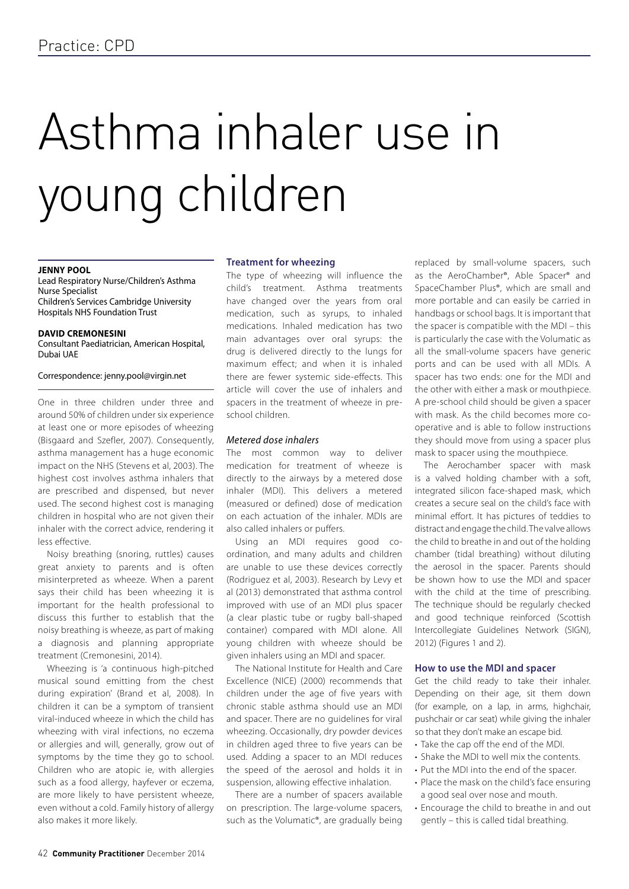# Asthma inhaler use in young children

## **Jenny Pool**

Lead Respiratory Nurse/Children's Asthma Nurse Specialist Children's Services Cambridge University Hospitals NHS Foundation Trust

#### **David Cremonesini**

Consultant Paediatrician, American Hospital, Dubai UAE

## Correspondence: jenny.pool@virgin.net

One in three children under three and around 50% of children under six experience at least one or more episodes of wheezing (Bisgaard and Szefler, 2007). Consequently, asthma management has a huge economic impact on the NHS (Stevens et al, 2003). The highest cost involves asthma inhalers that are prescribed and dispensed, but never used. The second highest cost is managing children in hospital who are not given their inhaler with the correct advice, rendering it less effective.

Noisy breathing (snoring, ruttles) causes great anxiety to parents and is often misinterpreted as wheeze. When a parent says their child has been wheezing it is important for the health professional to discuss this further to establish that the noisy breathing is wheeze, as part of making a diagnosis and planning appropriate treatment (Cremonesini, 2014).

Wheezing is 'a continuous high-pitched musical sound emitting from the chest during expiration' (Brand et al, 2008). In children it can be a symptom of transient viral-induced wheeze in which the child has wheezing with viral infections, no eczema or allergies and will, generally, grow out of symptoms by the time they go to school. Children who are atopic ie, with allergies such as a food allergy, hayfever or eczema, are more likely to have persistent wheeze, even without a cold. Family history of allergy also makes it more likely.

## **Treatment for wheezing**

The type of wheezing will influence the child's treatment. Asthma treatments have changed over the years from oral medication, such as syrups, to inhaled medications. Inhaled medication has two main advantages over oral syrups: the drug is delivered directly to the lungs for maximum effect; and when it is inhaled there are fewer systemic side-effects. This article will cover the use of inhalers and spacers in the treatment of wheeze in preschool children.

# *Metered dose inhalers*

The most common way to deliver medication for treatment of wheeze is directly to the airways by a metered dose inhaler (MDI). This delivers a metered (measured or defined) dose of medication on each actuation of the inhaler. MDIs are also called inhalers or puffers.

Using an MDI requires good coordination, and many adults and children are unable to use these devices correctly (Rodriguez et al, 2003). Research by Levy et al (2013) demonstrated that asthma control improved with use of an MDI plus spacer (a clear plastic tube or rugby ball-shaped container) compared with MDI alone. All young children with wheeze should be given inhalers using an MDI and spacer.

The National Institute for Health and Care Excellence (NICE) (2000) recommends that children under the age of five years with chronic stable asthma should use an MDI and spacer. There are no guidelines for viral wheezing. Occasionally, dry powder devices in children aged three to five years can be used. Adding a spacer to an MDI reduces the speed of the aerosol and holds it in suspension, allowing effective inhalation.

There are a number of spacers available on prescription. The large-volume spacers, such as the Volumatic®, are gradually being replaced by small-volume spacers, such as the AeroChamber®, Able Spacer® and SpaceChamber Plus®, which are small and more portable and can easily be carried in handbags or school bags. It is important that the spacer is compatible with the MDI – this is particularly the case with the Volumatic as all the small-volume spacers have generic ports and can be used with all MDIs. A spacer has two ends: one for the MDI and the other with either a mask or mouthpiece. A pre-school child should be given a spacer with mask. As the child becomes more cooperative and is able to follow instructions they should move from using a spacer plus mask to spacer using the mouthpiece.

The Aerochamber spacer with mask is a valved holding chamber with a soft, integrated silicon face-shaped mask, which creates a secure seal on the child's face with minimal effort. It has pictures of teddies to distract and engage the child. The valve allows the child to breathe in and out of the holding chamber (tidal breathing) without diluting the aerosol in the spacer. Parents should be shown how to use the MDI and spacer with the child at the time of prescribing. The technique should be regularly checked and good technique reinforced (Scottish Intercollegiate Guidelines Network (SIGN), 2012) (Figures 1 and 2).

### **How to use the MDI and spacer**

Get the child ready to take their inhaler. Depending on their age, sit them down (for example, on a lap, in arms, highchair, pushchair or car seat) while giving the inhaler so that they don't make an escape bid.

- Take the cap off the end of the MDI.
- Shake the MDI to well mix the contents.
- Put the MDI into the end of the spacer.
- Place the mask on the child's face ensuring a good seal over nose and mouth.
- Encourage the child to breathe in and out gently – this is called tidal breathing.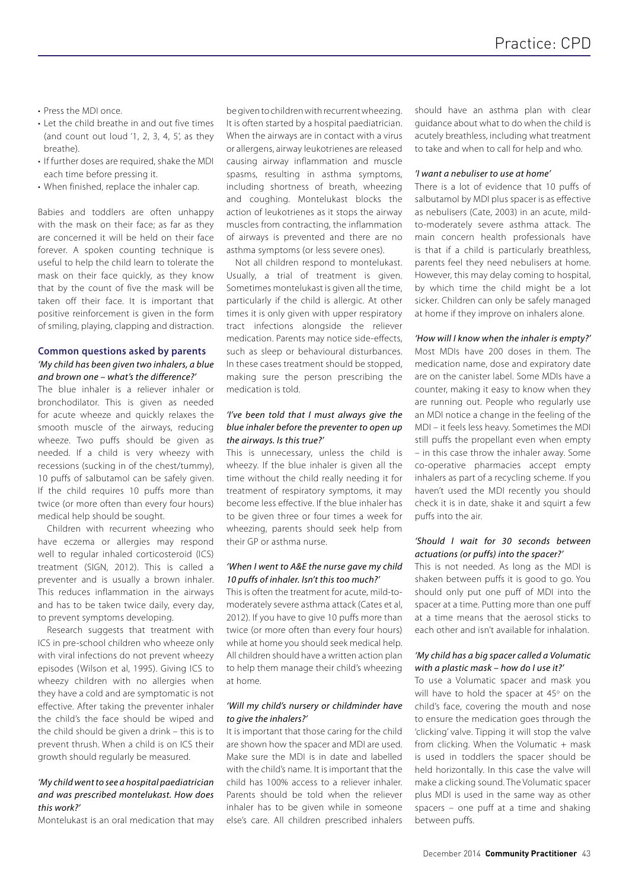- Press the MDI once.
- Let the child breathe in and out five times (and count out loud '1, 2, 3, 4, 5', as they breathe).
- If further doses are required, shake the MDI each time before pressing it.
- When finished, replace the inhaler cap.

Babies and toddlers are often unhappy with the mask on their face; as far as they are concerned it will be held on their face forever. A spoken counting technique is useful to help the child learn to tolerate the mask on their face quickly, as they know that by the count of five the mask will be taken off their face. It is important that positive reinforcement is given in the form of smiling, playing, clapping and distraction.

# **Common questions asked by parents** *'My child has been given two inhalers, a blue and brown one – what's the difference?'*

The blue inhaler is a reliever inhaler or bronchodilator. This is given as needed for acute wheeze and quickly relaxes the smooth muscle of the airways, reducing wheeze. Two puffs should be given as needed. If a child is very wheezy with recessions (sucking in of the chest/tummy), 10 puffs of salbutamol can be safely given. If the child requires 10 puffs more than twice (or more often than every four hours) medical help should be sought.

Children with recurrent wheezing who have eczema or allergies may respond well to regular inhaled corticosteroid (ICS) treatment (SIGN, 2012). This is called a preventer and is usually a brown inhaler. This reduces inflammation in the airways and has to be taken twice daily, every day, to prevent symptoms developing.

Research suggests that treatment with ICS in pre-school children who wheeze only with viral infections do not prevent wheezy episodes (Wilson et al, 1995). Giving ICS to wheezy children with no allergies when they have a cold and are symptomatic is not effective. After taking the preventer inhaler the child's the face should be wiped and the child should be given a drink – this is to prevent thrush. When a child is on ICS their growth should regularly be measured.

# *'My child went to see a hospital paediatrician and was prescribed montelukast. How does this work?'*

Montelukast is an oral medication that may

be given to children with recurrent wheezing. It is often started by a hospital paediatrician. When the airways are in contact with a virus or allergens, airway leukotrienes are released causing airway inflammation and muscle spasms, resulting in asthma symptoms, including shortness of breath, wheezing and coughing. Montelukast blocks the action of leukotrienes as it stops the airway muscles from contracting, the inflammation of airways is prevented and there are no asthma symptoms (or less severe ones).

Not all children respond to montelukast. Usually, a trial of treatment is given. Sometimes montelukast is given all the time, particularly if the child is allergic. At other times it is only given with upper respiratory tract infections alongside the reliever medication. Parents may notice side-effects, such as sleep or behavioural disturbances. In these cases treatment should be stopped, making sure the person prescribing the medication is told.

# *'I've been told that I must always give the blue inhaler before the preventer to open up the airways. Is this true?'*

This is unnecessary, unless the child is wheezy. If the blue inhaler is given all the time without the child really needing it for treatment of respiratory symptoms, it may become less effective. If the blue inhaler has to be given three or four times a week for wheezing, parents should seek help from their GP or asthma nurse.

## *'When I went to A&E the nurse gave my child 10 puffs of inhaler. Isn't this too much?'*

This is often the treatment for acute, mild-tomoderately severe asthma attack (Cates et al, 2012). If you have to give 10 puffs more than twice (or more often than every four hours) while at home you should seek medical help. All children should have a written action plan to help them manage their child's wheezing at home.

## *'Will my child's nursery or childminder have to give the inhalers?'*

It is important that those caring for the child are shown how the spacer and MDI are used. Make sure the MDI is in date and labelled with the child's name. It is important that the child has 100% access to a reliever inhaler. Parents should be told when the reliever inhaler has to be given while in someone else's care. All children prescribed inhalers should have an asthma plan with clear guidance about what to do when the child is acutely breathless, including what treatment to take and when to call for help and who.

#### *'I want a nebuliser to use at home'*

There is a lot of evidence that 10 puffs of salbutamol by MDI plus spacer is as effective as nebulisers (Cate, 2003) in an acute, mildto-moderately severe asthma attack. The main concern health professionals have is that if a child is particularly breathless, parents feel they need nebulisers at home. However, this may delay coming to hospital, by which time the child might be a lot sicker. Children can only be safely managed at home if they improve on inhalers alone.

## *'How will I know when the inhaler is empty?'*

Most MDIs have 200 doses in them. The medication name, dose and expiratory date are on the canister label. Some MDIs have a counter, making it easy to know when they are running out. People who regularly use an MDI notice a change in the feeling of the MDI – it feels less heavy. Sometimes the MDI still puffs the propellant even when empty – in this case throw the inhaler away. Some co-operative pharmacies accept empty inhalers as part of a recycling scheme. If you haven't used the MDI recently you should check it is in date, shake it and squirt a few puffs into the air.

# *'Should I wait for 30 seconds between actuations (or puffs) into the spacer?'*

This is not needed. As long as the MDI is shaken between puffs it is good to go. You should only put one puff of MDI into the spacer at a time. Putting more than one puff at a time means that the aerosol sticks to each other and isn't available for inhalation.

## *'My child has a big spacer called a Volumatic with a plastic mask – how do I use it?'*

To use a Volumatic spacer and mask you will have to hold the spacer at 45° on the child's face, covering the mouth and nose to ensure the medication goes through the 'clicking' valve. Tipping it will stop the valve from clicking. When the Volumatic + mask is used in toddlers the spacer should be held horizontally. In this case the valve will make a clicking sound. The Volumatic spacer plus MDI is used in the same way as other spacers – one puff at a time and shaking between puffs.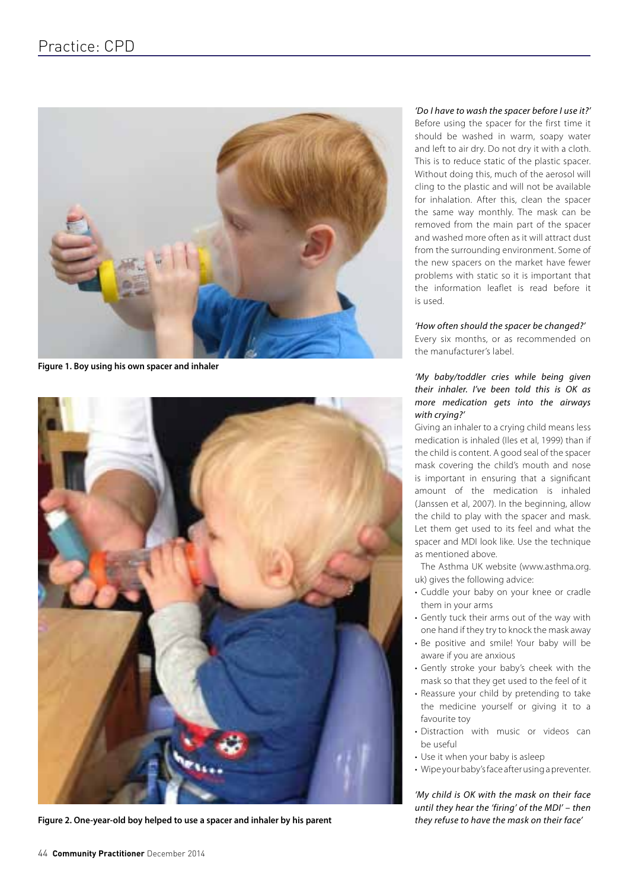

**Figure 1. Boy using his own spacer and inhaler**



**Figure 2. One-year-old boy helped to use a spacer and inhaler by his parent**

# *'Do I have to wash the spacer before I use it?'*

Before using the spacer for the first time it should be washed in warm, soapy water and left to air dry. Do not dry it with a cloth. This is to reduce static of the plastic spacer. Without doing this, much of the aerosol will cling to the plastic and will not be available for inhalation. After this, clean the spacer the same way monthly. The mask can be removed from the main part of the spacer and washed more often as it will attract dust from the surrounding environment. Some of the new spacers on the market have fewer problems with static so it is important that the information leaflet is read before it is used.

## *'How often should the spacer be changed?'*

Every six months, or as recommended on the manufacturer's label.

# *'My baby/toddler cries while being given their inhaler. I've been told this is OK as more medication gets into the airways with crying?'*

Giving an inhaler to a crying child means less medication is inhaled (Iles et al, 1999) than if the child is content. A good seal of the spacer mask covering the child's mouth and nose is important in ensuring that a significant amount of the medication is inhaled (Janssen et al, 2007). In the beginning, allow the child to play with the spacer and mask. Let them get used to its feel and what the spacer and MDI look like. Use the technique as mentioned above.

The Asthma UK website (www.asthma.org. uk) gives the following advice:

- Cuddle your baby on your knee or cradle them in your arms
- Gently tuck their arms out of the way with one hand if they try to knock the mask away
- Be positive and smile! Your baby will be aware if you are anxious
- Gently stroke your baby's cheek with the mask so that they get used to the feel of it
- Reassure your child by pretending to take the medicine yourself or giving it to a favourite toy
- Distraction with music or videos can be useful
- Use it when your baby is asleep
- Wipe your baby's face after using a preventer.

*'My child is OK with the mask on their face until they hear the 'firing' of the MDI' – then they refuse to have the mask on their face'*